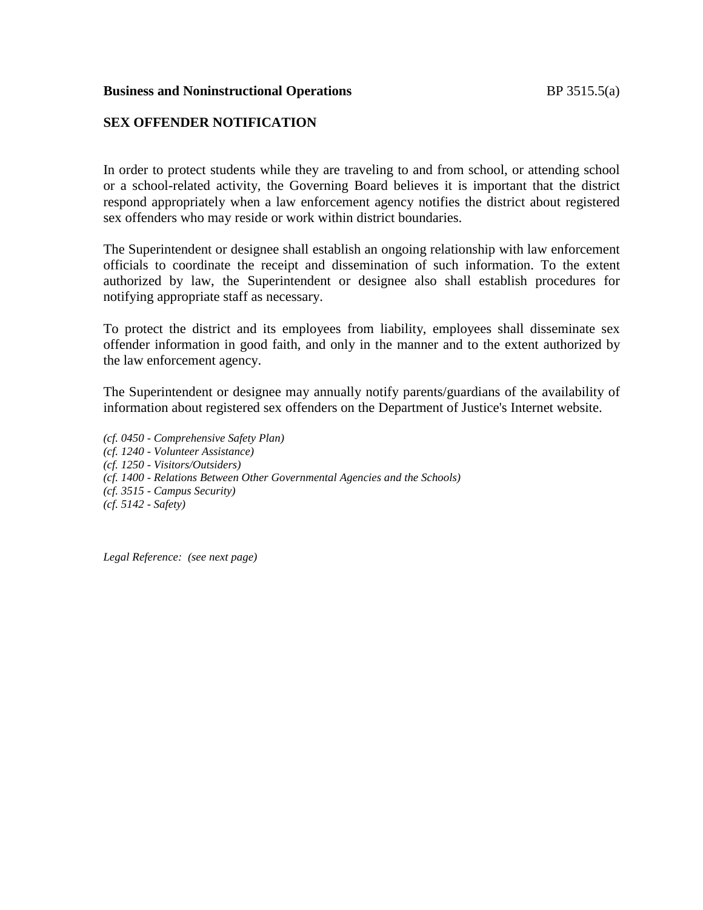## **Business and Noninstructional Operations BP** 3515.5(a)

## **SEX OFFENDER NOTIFICATION**

In order to protect students while they are traveling to and from school, or attending school or a school-related activity, the Governing Board believes it is important that the district respond appropriately when a law enforcement agency notifies the district about registered sex offenders who may reside or work within district boundaries.

The Superintendent or designee shall establish an ongoing relationship with law enforcement officials to coordinate the receipt and dissemination of such information. To the extent authorized by law, the Superintendent or designee also shall establish procedures for notifying appropriate staff as necessary.

To protect the district and its employees from liability, employees shall disseminate sex offender information in good faith, and only in the manner and to the extent authorized by the law enforcement agency.

The Superintendent or designee may annually notify parents/guardians of the availability of information about registered sex offenders on the Department of Justice's Internet website.

*(cf. 0450 - Comprehensive Safety Plan) (cf. 1240 - Volunteer Assistance) (cf. 1250 - Visitors/Outsiders) (cf. 1400 - Relations Between Other Governmental Agencies and the Schools) (cf. 3515 - Campus Security) (cf. 5142 - Safety)*

*Legal Reference: (see next page)*